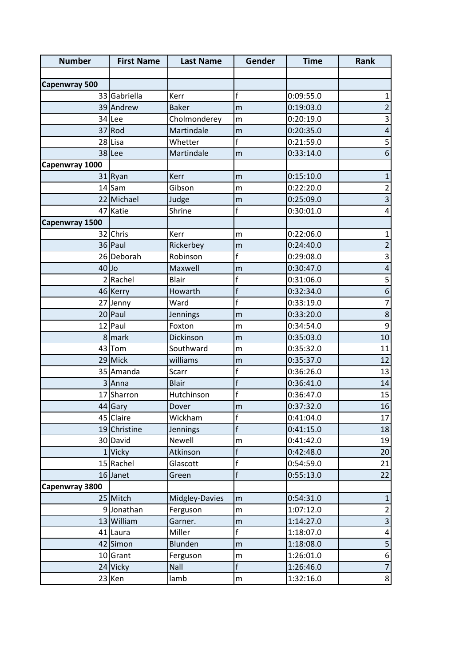| <b>Number</b>        | <b>First Name</b> | <b>Last Name</b> | Gender                  | <b>Time</b> | Rank                      |
|----------------------|-------------------|------------------|-------------------------|-------------|---------------------------|
|                      |                   |                  |                         |             |                           |
| <b>Capenwray 500</b> |                   |                  |                         |             |                           |
|                      | 33 Gabriella      | Kerr             | f                       | 0:09:55.0   | $\mathbf{1}$              |
|                      | 39 Andrew         | <b>Baker</b>     | m                       | 0:19:03.0   | $\overline{c}$            |
|                      | 34 Lee            | Cholmonderey     | m                       | 0:20:19.0   | $\overline{\mathbf{3}}$   |
|                      | 37 Rod            | Martindale       | m                       | 0:20:35.0   | $\pmb{4}$                 |
|                      | 28 Lisa           | Whetter          | f                       | 0:21:59.0   | $\mathsf S$               |
|                      | 38 Lee            | Martindale       | m                       | 0:33:14.0   | $\boldsymbol{6}$          |
| Capenwray 1000       |                   |                  |                         |             |                           |
|                      | 31 Ryan           | Kerr             | m                       | 0:15:10.0   | $\mathbf 1$               |
|                      | 14 Sam            | Gibson           | m                       | 0:22:20.0   | $\overline{\mathbf{c}}$   |
|                      | 22 Michael        | Judge            | m                       | 0:25:09.0   | $\overline{\mathbf{3}}$   |
|                      | 47 Katie          | Shrine           | f                       | 0:30:01.0   | 4                         |
| Capenwray 1500       |                   |                  |                         |             |                           |
|                      | 32 Chris          | Kerr             | m                       | 0:22:06.0   | $\mathbf{1}$              |
|                      | 36 Paul           | Rickerbey        | m                       | 0:24:40.0   | $\mathbf 2$               |
|                      | 26 Deborah        | Robinson         | f                       | 0:29:08.0   | $\ensuremath{\mathsf{3}}$ |
| $40$ Jo              |                   | Maxwell          | m                       | 0:30:47.0   | $\overline{\mathbf{r}}$   |
|                      | 2 Rachel          | <b>Blair</b>     | f                       | 0:31:06.0   | 5                         |
|                      | 46 Kerry          | Howarth          | $\mathsf f$             | 0:32:34.0   | $\boldsymbol{6}$          |
| 27                   | Jenny             | Ward             | $\overline{\mathsf{f}}$ | 0:33:19.0   | $\overline{7}$            |
|                      | 20 Paul           | Jennings         | m                       | 0:33:20.0   | $\bf 8$                   |
|                      | 12 Paul           | Foxton           | m                       | 0:34:54.0   | $\boldsymbol{9}$          |
|                      | 8 mark            | Dickinson        | m                       | 0:35:03.0   | 10                        |
|                      | 43 Tom            | Southward        | m                       | 0:35:32.0   | 11                        |
|                      | 29 Mick           | williams         | m                       | 0:35:37.0   | 12                        |
|                      | 35 Amanda         | Scarr            | f                       | 0:36:26.0   | 13                        |
|                      | Anna              | <b>Blair</b>     | $\overline{f}$          | 0:36:41.0   | 14                        |
|                      | 17 Sharron        | Hutchinson       | f                       | 0:36:47.0   | 15                        |
|                      | 44 Gary           | Dover            | m                       | 0:37:32.0   | 16                        |
|                      | 45 Claire         | Wickham          | f                       | 0:41:04.0   | 17                        |
|                      | 19 Christine      | Jennings         | $\mathsf{f}$            | 0:41:15.0   | 18                        |
|                      | 30 David          | Newell           | m                       | 0:41:42.0   | 19                        |
|                      | 1 Vicky           | Atkinson         | f                       | 0:42:48.0   | 20                        |
|                      | 15 Rachel         | Glascott         | f                       | 0:54:59.0   | 21                        |
|                      | 16 Janet          | Green            | $\mathsf{f}$            | 0:55:13.0   | 22                        |
| Capenwray 3800       |                   |                  |                         |             |                           |
|                      | 25 Mitch          | Midgley-Davies   | m                       | 0:54:31.0   | $\mathbf{1}$              |
|                      | 9 Jonathan        | Ferguson         | m                       | 1:07:12.0   | $\overline{2}$            |
|                      | 13 William        | Garner.          | m                       | 1:14:27.0   | $\mathsf{3}$              |
|                      | 41 Laura          | Miller           | $\mathsf{f}$            | 1:18:07.0   | 4                         |
|                      | 42 Simon          | Blunden          | m                       | 1:18:08.0   | 5                         |
|                      | 10 Grant          | Ferguson         | m                       | 1:26:01.0   | $\,$ 6 $\,$               |
|                      | 24 Vicky          | Nall             | $\mathsf{f}$            | 1:26:46.0   | $\overline{7}$            |
|                      | 23 Ken            | lamb             | ${\sf m}$               | 1:32:16.0   | 8 <sup>1</sup>            |